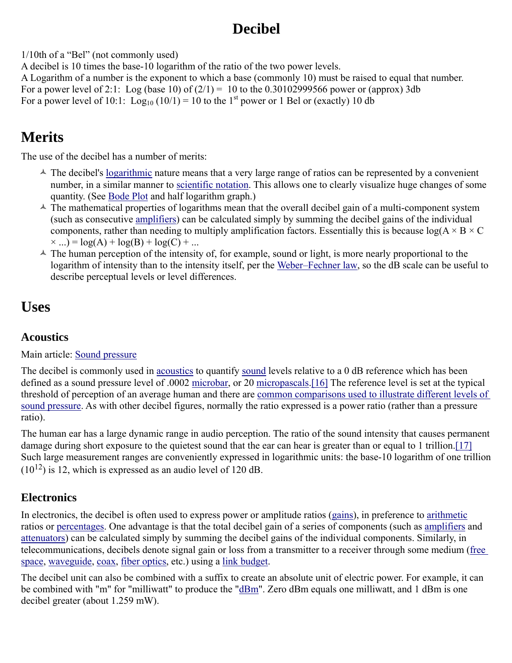# **Decibel**

1/10th of a "Bel" (not commonly used)

A decibel is 10 times the base-10 logarithm of the ratio of the two power levels.

A Logarithm of a number is the exponent to which a base (commonly 10) must be raised to equal that number.

For a power level of 2:1: Log (base 10) of  $(2/1) = 10$  to the 0.30102999566 power or (approx) 3db

For a power level of 10:1:  $Log_{10} (10/1) = 10$  to the 1<sup>st</sup> power or 1 Bel or (exactly) 10 db

# **Merits**

The use of the decibel has a number of merits:

- $\triangle$  The decibel's <u>logarithmic</u> nature means that a very large range of ratios can be represented by a convenient number, in a similar manner to scientific notation. This allows one to clearly visualize huge changes of some quantity. (See Bode Plot and half logarithm graph.)
- $\triangle$  The mathematical properties of logarithms mean that the overall decibel gain of a multi-component system (such as consecutive amplifiers) can be calculated simply by summing the decibel gains of the individual components, rather than needing to multiply amplification factors. Essentially this is because  $log(A \times B \times C)$  $\times ...$ ) = log(A) + log(B) + log(C) + ...
- $\triangle$  The human perception of the intensity of, for example, sound or light, is more nearly proportional to the logarithm of intensity than to the intensity itself, per the Weber–Fechner law, so the dB scale can be useful to describe perceptual levels or level differences.

## **Uses**

## **Acoustics**

## Main article: Sound pressure

The decibel is commonly used in acoustics to quantify sound levels relative to a 0 dB reference which has been defined as a sound pressure level of .0002 microbar, or 20 micropascals.[16] The reference level is set at the typical threshold of perception of an average human and there are common comparisons used to illustrate different levels of sound pressure. As with other decibel figures, normally the ratio expressed is a power ratio (rather than a pressure ratio).

The human ear has a large dynamic range in audio perception. The ratio of the sound intensity that causes permanent damage during short exposure to the quietest sound that the ear can hear is greater than or equal to 1 trillion.[17] Such large measurement ranges are conveniently expressed in logarithmic units: the base-10 logarithm of one trillion  $(10^{12})$  is 12, which is expressed as an audio level of 120 dB.

## **Electronics**

In electronics, the decibel is often used to express power or amplitude ratios (gains), in preference to arithmetic ratios or percentages. One advantage is that the total decibel gain of a series of components (such as amplifiers and attenuators) can be calculated simply by summing the decibel gains of the individual components. Similarly, in telecommunications, decibels denote signal gain or loss from a transmitter to a receiver through some medium (free space, waveguide, coax, fiber optics, etc.) using a link budget.

The decibel unit can also be combined with a suffix to create an absolute unit of electric power. For example, it can be combined with "m" for "milliwatt" to produce the "<u>dBm</u>". Zero dBm equals one milliwatt, and 1 dBm is one decibel greater (about 1.259 mW).